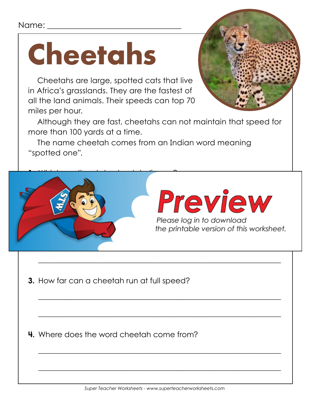#### Name:

## **Cheetahs**

Cheetahs are large, spotted cats that live in Africa's grasslands. They are the fastest of all the land animals. Their speeds can top 70 miles per hour.



Although they are fast, cheetahs can not maintain that speed for more than 100 yards at a time.

The name cheetah comes from an Indian word meaning "spotted one".



 $\overline{\phantom{a}}$  , and the contract of the contract of the contract of the contract of the contract of the contract of the contract of the contract of the contract of the contract of the contract of the contract of the contrac

 $\overline{\phantom{a}}$  , and the contract of the contract of the contract of the contract of the contract of the contract of the contract of the contract of the contract of the contract of the contract of the contract of the contrac

 $\overline{\phantom{a}}$  , and the contract of the contract of the contract of the contract of the contract of the contract of the contract of the contract of the contract of the contract of the contract of the contract of the contrac

 $\overline{\phantom{a}}$  , and the contract of the contract of the contract of the contract of the contract of the contract of the contract of the contract of the contract of the contract of the contract of the contract of the contrac

 $\overline{\phantom{a}}$  , and the contract of the contract of the contract of the contract of the contract of the contract of the contract of the contract of the contract of the contract of the contract of the contract of the contrac

**3.** How far can a cheetah run at full speed?

**4.** Where does the word cheetah come from?